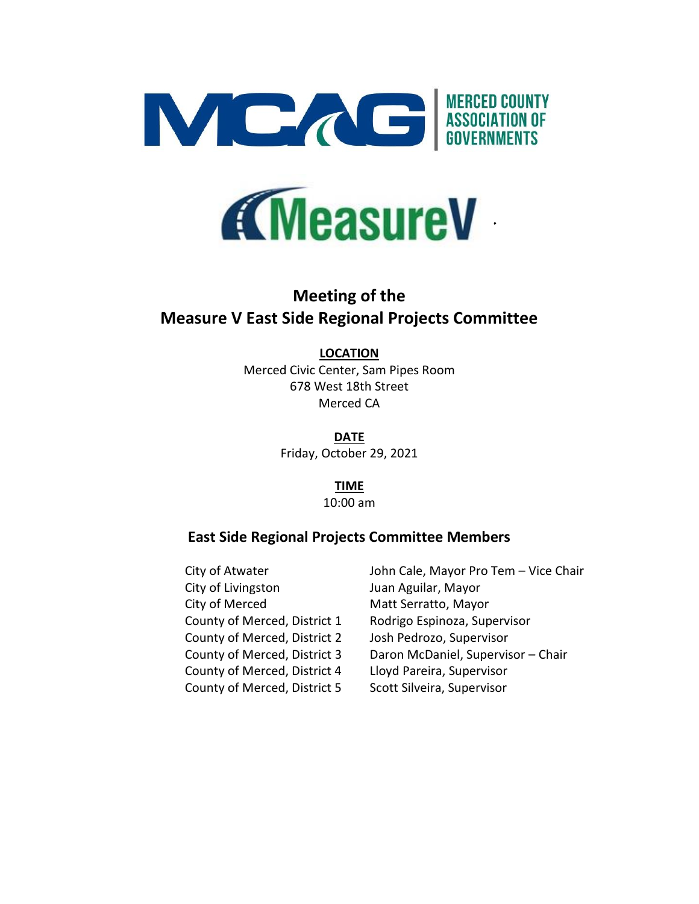



# **Meeting of the Measure V East Side Regional Projects Committee**

# **LOCATION**

Merced Civic Center, Sam Pipes Room 678 West 18th Street Merced CA

> **DATE** Friday, October 29, 2021

> > **TIME** 10:00 am

# **East Side Regional Projects Committee Members**

City of Livingston Juan Aguilar, Mayor City of Merced Matt Serratto, Mayor County of Merced, District 2 Josh Pedrozo, Supervisor County of Merced, District 4 Lloyd Pareira, Supervisor County of Merced, District 5 Scott Silveira, Supervisor

City of Atwater **John Cale, Mayor Pro Tem – Vice Chair** County of Merced, District 1 Rodrigo Espinoza, Supervisor County of Merced, District 3 Daron McDaniel, Supervisor – Chair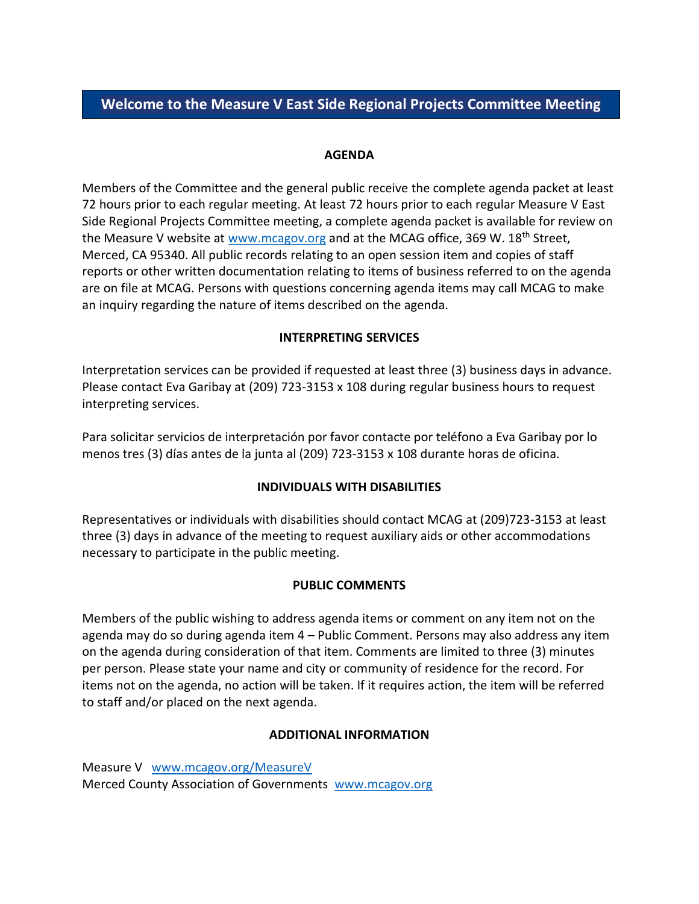# **Welcome to the Measure V East Side Regional Projects Committee Meeting**

## **AGENDA**

Members of the Committee and the general public receive the complete agenda packet at least 72 hours prior to each regular meeting. At least 72 hours prior to each regular Measure V East Side Regional Projects Committee meeting, a complete agenda packet is available for review on the Measure V website at [www.mcagov.org](http://www.mcagov.org/) and at the MCAG office, 369 W. 18<sup>th</sup> Street, Merced, CA 95340. All public records relating to an open session item and copies of staff reports or other written documentation relating to items of business referred to on the agenda are on file at MCAG. Persons with questions concerning agenda items may call MCAG to make an inquiry regarding the nature of items described on the agenda.

## **INTERPRETING SERVICES**

Interpretation services can be provided if requested at least three (3) business days in advance. Please contact Eva Garibay at (209) 723-3153 x 108 during regular business hours to request interpreting services.

Para solicitar servicios de interpretación por favor contacte por teléfono a Eva Garibay por lo menos tres (3) días antes de la junta al (209) 723-3153 x 108 durante horas de oficina.

# **INDIVIDUALS WITH DISABILITIES**

Representatives or individuals with disabilities should contact MCAG at (209)723-3153 at least three (3) days in advance of the meeting to request auxiliary aids or other accommodations necessary to participate in the public meeting.

#### **PUBLIC COMMENTS**

Members of the public wishing to address agenda items or comment on any item not on the agenda may do so during agenda item 4 – Public Comment. Persons may also address any item on the agenda during consideration of that item. Comments are limited to three (3) minutes per person. Please state your name and city or community of residence for the record. For items not on the agenda, no action will be taken. If it requires action, the item will be referred to staff and/or placed on the next agenda.

#### **ADDITIONAL INFORMATION**

Measure V [www.mcagov.org/MeasureV](http://www.mcagov.org/MeasureV) Merced County Association of Governments [www.mcagov.org](http://www.mcagov.org/)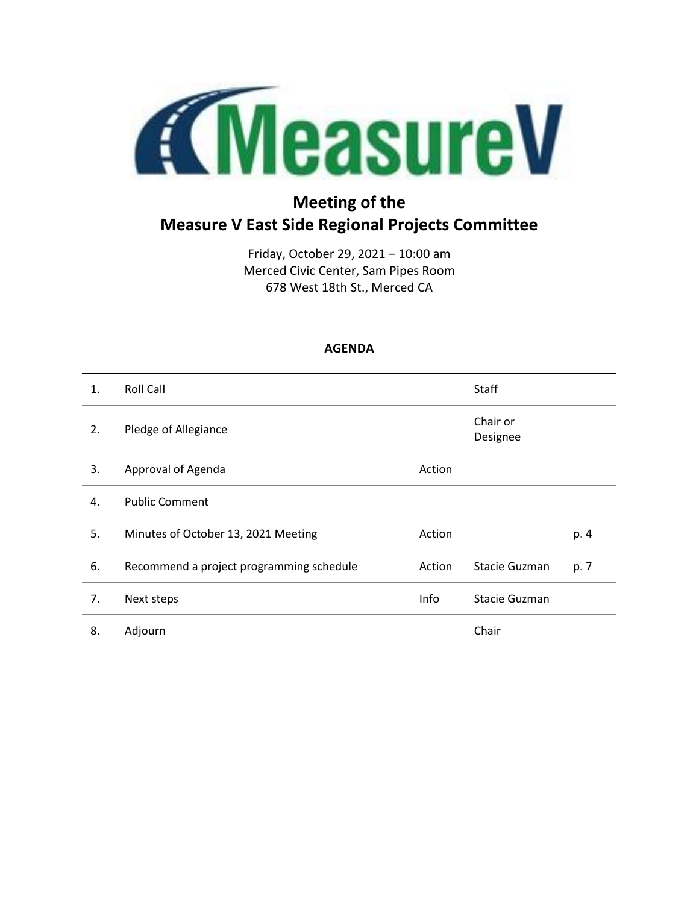

# **Meeting of the Measure V East Side Regional Projects Committee**

Friday, October 29, 2021 – 10:00 am Merced Civic Center, Sam Pipes Room 678 West 18th St., Merced CA

# **AGENDA**

| $\mathbf{1}$ . | <b>Roll Call</b>                         |        | Staff                |      |
|----------------|------------------------------------------|--------|----------------------|------|
| 2.             | Pledge of Allegiance                     |        | Chair or<br>Designee |      |
| 3.             | Approval of Agenda                       | Action |                      |      |
| 4.             | <b>Public Comment</b>                    |        |                      |      |
| 5.             | Minutes of October 13, 2021 Meeting      | Action |                      | p. 4 |
| 6.             | Recommend a project programming schedule | Action | Stacie Guzman        | p. 7 |
| 7.             | Next steps                               | Info   | Stacie Guzman        |      |
| 8.             | Adjourn                                  |        | Chair                |      |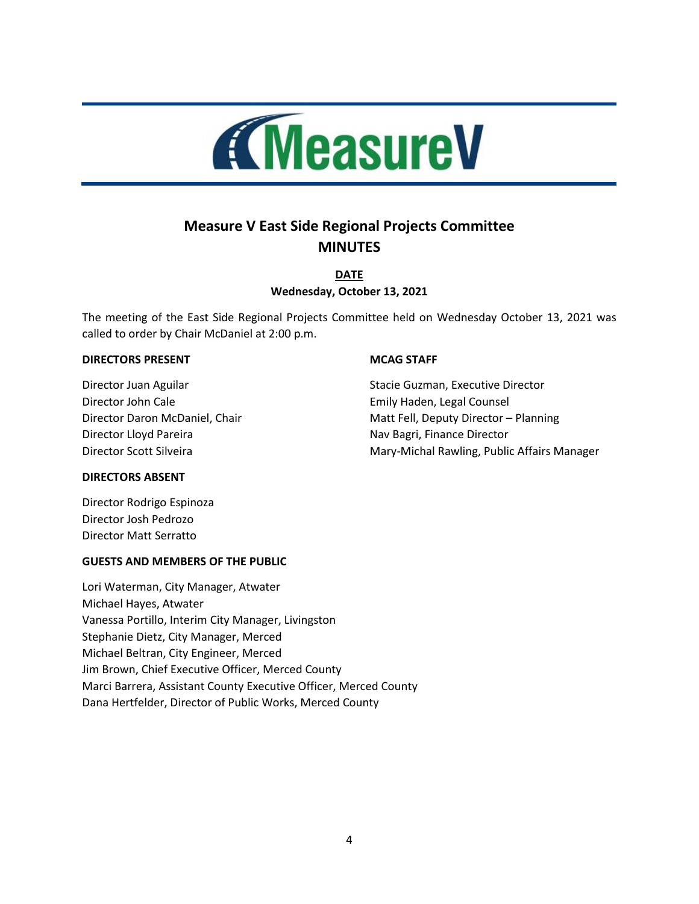

# **Measure V East Side Regional Projects Committee MINUTES**

**DATE Wednesday, October 13, 2021**

The meeting of the East Side Regional Projects Committee held on Wednesday October 13, 2021 was called to order by Chair McDaniel at 2:00 p.m.

#### **DIRECTORS PRESENT**

Director Juan Aguilar Director John Cale Director Daron McDaniel, Chair Director Lloyd Pareira Director Scott Silveira

#### **MCAG STAFF**

Stacie Guzman, Executive Director Emily Haden, Legal Counsel Matt Fell, Deputy Director – Planning Nav Bagri, Finance Director Mary-Michal Rawling, Public Affairs Manager

#### **DIRECTORS ABSENT**

Director Rodrigo Espinoza Director Josh Pedrozo Director Matt Serratto

#### **GUESTS AND MEMBERS OF THE PUBLIC**

Lori Waterman, City Manager, Atwater Michael Hayes, Atwater Vanessa Portillo, Interim City Manager, Livingston Stephanie Dietz, City Manager, Merced Michael Beltran, City Engineer, Merced Jim Brown, Chief Executive Officer, Merced County Marci Barrera, Assistant County Executive Officer, Merced County Dana Hertfelder, Director of Public Works, Merced County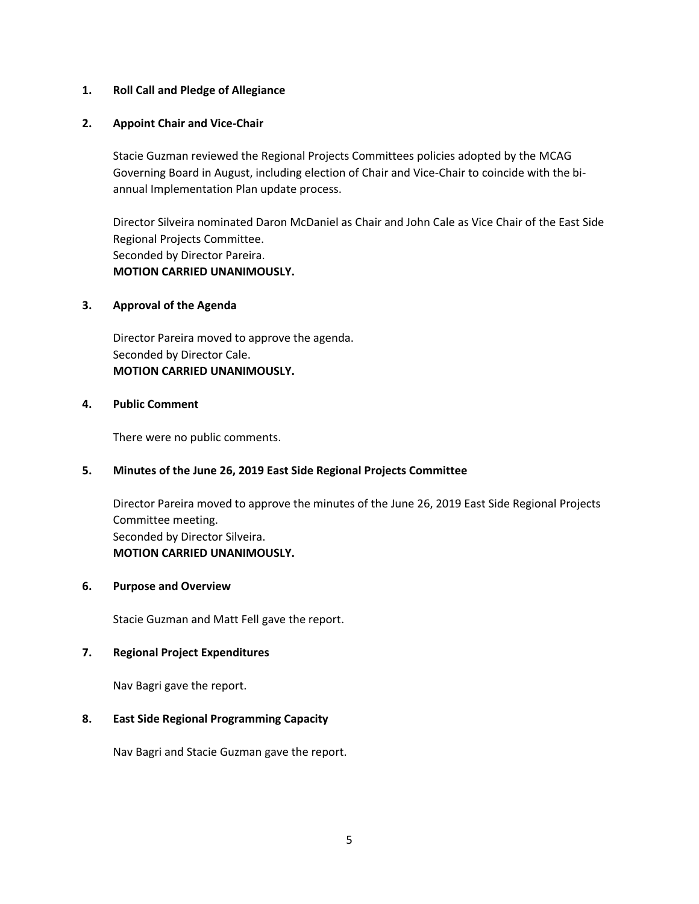#### **1. Roll Call and Pledge of Allegiance**

#### **2. Appoint Chair and Vice-Chair**

Stacie Guzman reviewed the Regional Projects Committees policies adopted by the MCAG Governing Board in August, including election of Chair and Vice-Chair to coincide with the biannual Implementation Plan update process.

Director Silveira nominated Daron McDaniel as Chair and John Cale as Vice Chair of the East Side Regional Projects Committee. Seconded by Director Pareira. **MOTION CARRIED UNANIMOUSLY.**

#### **3. Approval of the Agenda**

Director Pareira moved to approve the agenda. Seconded by Director Cale. **MOTION CARRIED UNANIMOUSLY.**

#### **4. Public Comment**

There were no public comments.

#### **5. Minutes of the June 26, 2019 East Side Regional Projects Committee**

Director Pareira moved to approve the minutes of the June 26, 2019 East Side Regional Projects Committee meeting. Seconded by Director Silveira. **MOTION CARRIED UNANIMOUSLY.**

#### **6. Purpose and Overview**

Stacie Guzman and Matt Fell gave the report.

#### **7. Regional Project Expenditures**

Nav Bagri gave the report.

#### **8. East Side Regional Programming Capacity**

Nav Bagri and Stacie Guzman gave the report.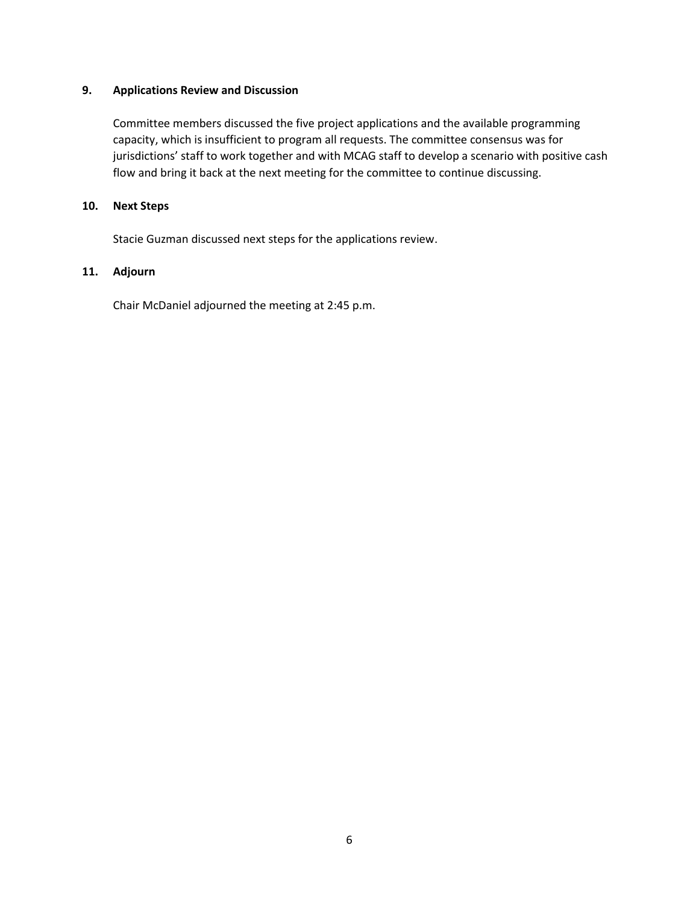## **9. Applications Review and Discussion**

Committee members discussed the five project applications and the available programming capacity, which is insufficient to program all requests. The committee consensus was for jurisdictions' staff to work together and with MCAG staff to develop a scenario with positive cash flow and bring it back at the next meeting for the committee to continue discussing.

## **10. Next Steps**

Stacie Guzman discussed next steps for the applications review.

# **11. Adjourn**

Chair McDaniel adjourned the meeting at 2:45 p.m.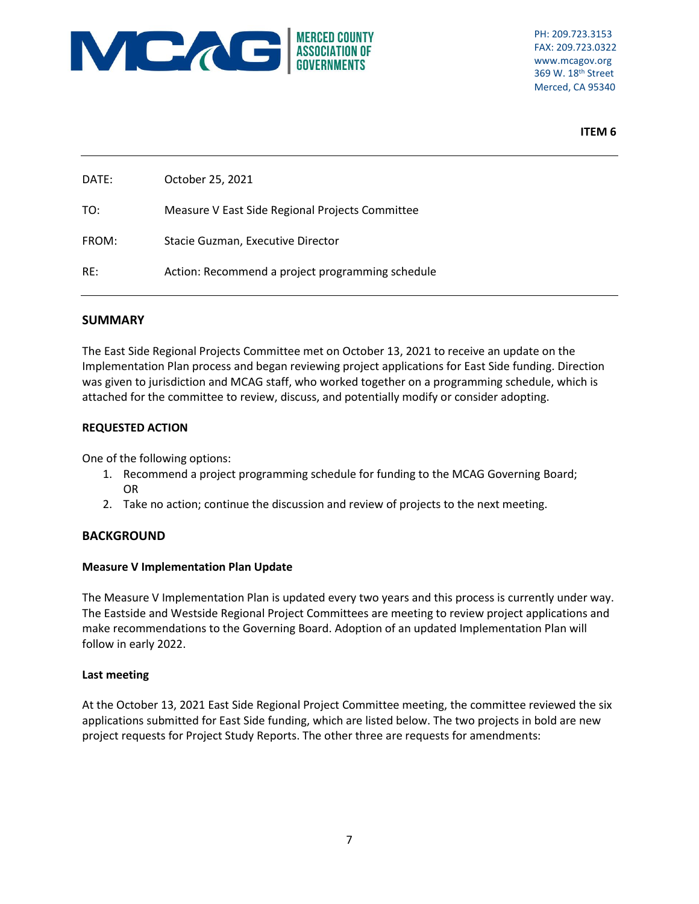

PH: 209.723.3153 FAX: 209.723.0322 www.mcagov.org 369 W. 18th Street Merced, CA 95340

**ITEM 6**

| DATE: | October 25, 2021                                 |
|-------|--------------------------------------------------|
| TO:   | Measure V East Side Regional Projects Committee  |
| FROM: | Stacie Guzman, Executive Director                |
| RE:   | Action: Recommend a project programming schedule |

#### **SUMMARY**

The East Side Regional Projects Committee met on October 13, 2021 to receive an update on the Implementation Plan process and began reviewing project applications for East Side funding. Direction was given to jurisdiction and MCAG staff, who worked together on a programming schedule, which is attached for the committee to review, discuss, and potentially modify or consider adopting.

#### **REQUESTED ACTION**

One of the following options:

- 1. Recommend a project programming schedule for funding to the MCAG Governing Board; OR
- 2. Take no action; continue the discussion and review of projects to the next meeting.

# **BACKGROUND**

#### **Measure V Implementation Plan Update**

The Measure V Implementation Plan is updated every two years and this process is currently under way. The Eastside and Westside Regional Project Committees are meeting to review project applications and make recommendations to the Governing Board. Adoption of an updated Implementation Plan will follow in early 2022.

#### **Last meeting**

At the October 13, 2021 East Side Regional Project Committee meeting, the committee reviewed the six applications submitted for East Side funding, which are listed below. The two projects in bold are new project requests for Project Study Reports. The other three are requests for amendments: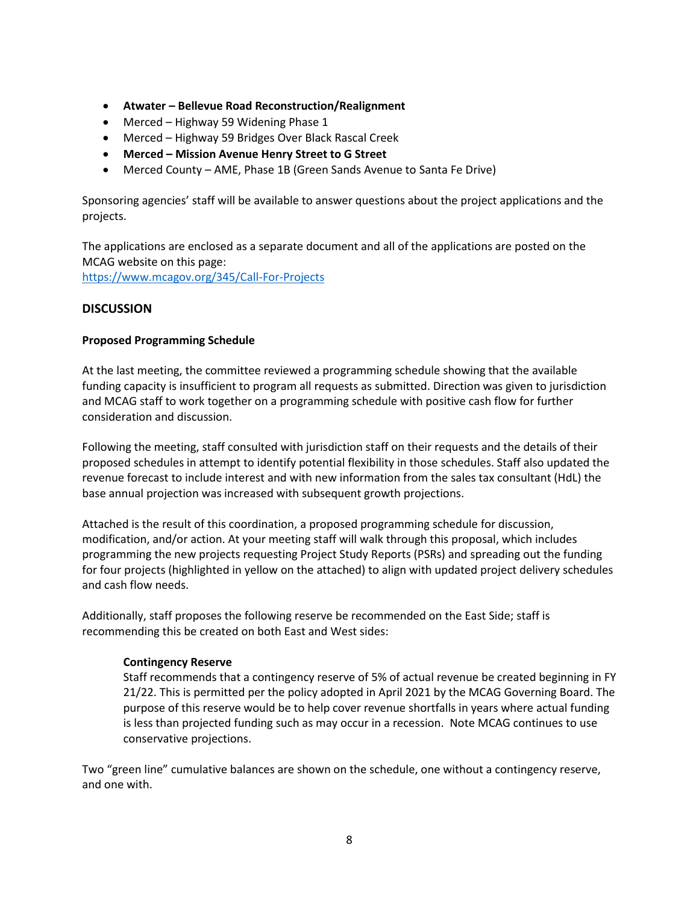- **Atwater – Bellevue Road Reconstruction/Realignment**
- Merced Highway 59 Widening Phase 1
- Merced Highway 59 Bridges Over Black Rascal Creek
- **Merced – Mission Avenue Henry Street to G Street**
- Merced County AME, Phase 1B (Green Sands Avenue to Santa Fe Drive)

Sponsoring agencies' staff will be available to answer questions about the project applications and the projects.

The applications are enclosed as a separate document and all of the applications are posted on the MCAG website on this page: <https://www.mcagov.org/345/Call-For-Projects>

## **DISCUSSION**

#### **Proposed Programming Schedule**

At the last meeting, the committee reviewed a programming schedule showing that the available funding capacity is insufficient to program all requests as submitted. Direction was given to jurisdiction and MCAG staff to work together on a programming schedule with positive cash flow for further consideration and discussion.

Following the meeting, staff consulted with jurisdiction staff on their requests and the details of their proposed schedules in attempt to identify potential flexibility in those schedules. Staff also updated the revenue forecast to include interest and with new information from the sales tax consultant (HdL) the base annual projection was increased with subsequent growth projections.

Attached is the result of this coordination, a proposed programming schedule for discussion, modification, and/or action. At your meeting staff will walk through this proposal, which includes programming the new projects requesting Project Study Reports (PSRs) and spreading out the funding for four projects (highlighted in yellow on the attached) to align with updated project delivery schedules and cash flow needs.

Additionally, staff proposes the following reserve be recommended on the East Side; staff is recommending this be created on both East and West sides:

#### **Contingency Reserve**

Staff recommends that a contingency reserve of 5% of actual revenue be created beginning in FY 21/22. This is permitted per the policy adopted in April 2021 by the MCAG Governing Board. The purpose of this reserve would be to help cover revenue shortfalls in years where actual funding is less than projected funding such as may occur in a recession. Note MCAG continues to use conservative projections.

Two "green line" cumulative balances are shown on the schedule, one without a contingency reserve, and one with.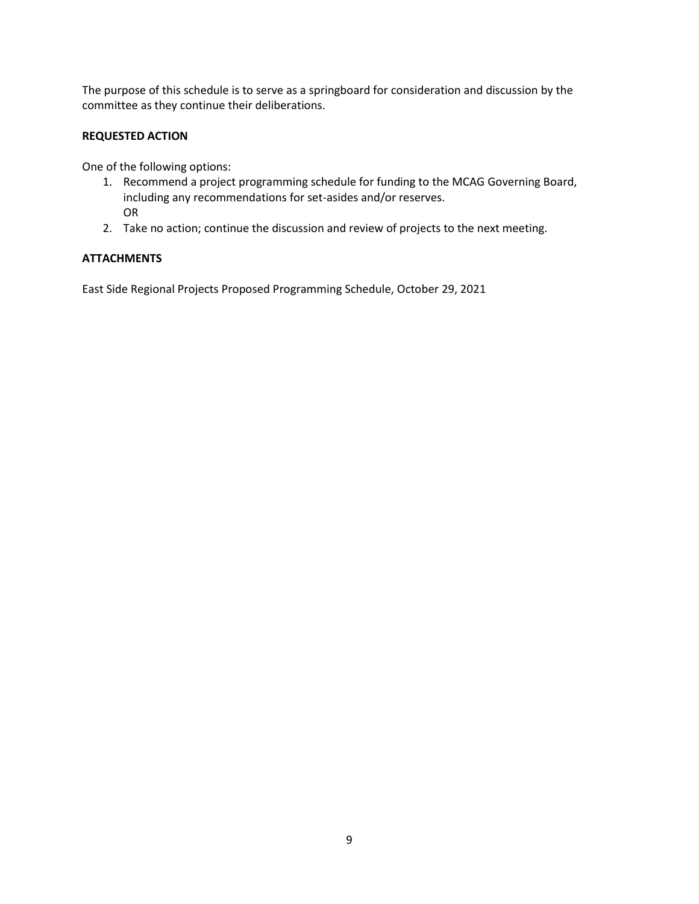The purpose of this schedule is to serve as a springboard for consideration and discussion by the committee as they continue their deliberations.

#### **REQUESTED ACTION**

One of the following options:

- 1. Recommend a project programming schedule for funding to the MCAG Governing Board, including any recommendations for set-asides and/or reserves. OR
- 2. Take no action; continue the discussion and review of projects to the next meeting.

## **ATTACHMENTS**

East Side Regional Projects Proposed Programming Schedule, October 29, 2021